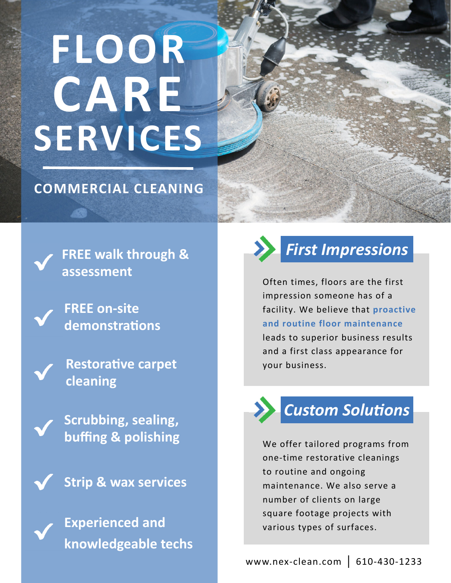# **FLOOR CARE SERVICES**

#### **COMMERCIAL CLEANING**

**FREE walk through & assessment**

**FREE on‐site demonstraƟons**

**RestoraƟve carpet cleaning**

**Scrubbing, sealing, buffing & polishing**

**Strip & wax services**

**Experienced and knowledgeable techs**



### *First Impressions*

Often times, floors are the first impression someone has of a facility. We believe that **proactive and routine floor maintenance** leads to superior business results and a first class appearance for your business.

# *Custom SoluƟons*

We offer tailored programs from one‐time restorative cleanings to routine and ongoing maintenance. We also serve a number of clients on large square footage projects with various types of surfaces.